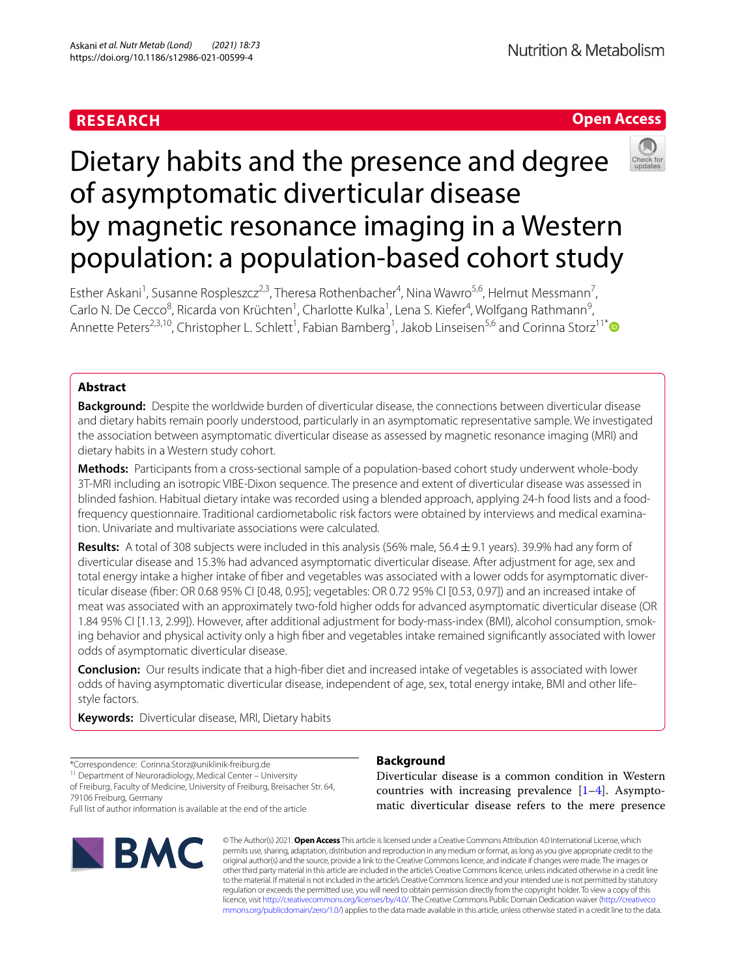# **RESEARCH**

# **Open Access**



# Dietary habits and the presence and degree of asymptomatic diverticular disease by magnetic resonance imaging in a Western population: a population-based cohort study

Esther Askani<sup>1</sup>, Susanne Rospleszcz<sup>2,3</sup>, Theresa Rothenbacher<sup>4</sup>, Nina Wawro<sup>5,6</sup>, Helmut Messmann<sup>7</sup>, Carlo N. De Cecco<sup>8</sup>, Ricarda von Krüchten<sup>1</sup>, Charlotte Kulka<sup>1</sup>, Lena S. Kiefer<sup>4</sup>, Wolfgang Rathmann<sup>9</sup>, Annette Peters<sup>2,3,10</sup>, Christopher L. Schlett<sup>1</sup>, Fabian Bamberg<sup>1</sup>, Jakob Linseisen<sup>5,6</sup> and Corinna Storz<sup>11[\\*](http://orcid.org/0000-0001-5589-1849)</sup>

# **Abstract**

**Background:** Despite the worldwide burden of diverticular disease, the connections between diverticular disease and dietary habits remain poorly understood, particularly in an asymptomatic representative sample. We investigated the association between asymptomatic diverticular disease as assessed by magnetic resonance imaging (MRI) and dietary habits in a Western study cohort.

**Methods:** Participants from a cross-sectional sample of a population-based cohort study underwent whole-body 3T-MRI including an isotropic VIBE-Dixon sequence. The presence and extent of diverticular disease was assessed in blinded fashion. Habitual dietary intake was recorded using a blended approach, applying 24-h food lists and a foodfrequency questionnaire. Traditional cardiometabolic risk factors were obtained by interviews and medical examination. Univariate and multivariate associations were calculated.

**Results:** A total of 308 subjects were included in this analysis (56% male, 56.4±9.1 years). 39.9% had any form of diverticular disease and 15.3% had advanced asymptomatic diverticular disease. After adjustment for age, sex and total energy intake a higher intake of fber and vegetables was associated with a lower odds for asymptomatic diverticular disease (fber: OR 0.68 95% CI [0.48, 0.95]; vegetables: OR 0.72 95% CI [0.53, 0.97]) and an increased intake of meat was associated with an approximately two-fold higher odds for advanced asymptomatic diverticular disease (OR 1.84 95% CI [1.13, 2.99]). However, after additional adjustment for body-mass-index (BMI), alcohol consumption, smoking behavior and physical activity only a high fber and vegetables intake remained signifcantly associated with lower odds of asymptomatic diverticular disease.

**Conclusion:** Our results indicate that a high-fber diet and increased intake of vegetables is associated with lower odds of having asymptomatic diverticular disease, independent of age, sex, total energy intake, BMI and other lifestyle factors.

**Keywords:** Diverticular disease, MRI, Dietary habits

\*Correspondence: Corinna.Storz@uniklinik-freiburg.de

11 Department of Neuroradiology, Medical Center – University of Freiburg, Faculty of Medicine, University of Freiburg, Breisacher Str. 64,

79106 Freiburg, Germany

Full list of author information is available at the end of the article



# **Background**

Diverticular disease is a common condition in Western countries with increasing prevalence  $[1-4]$  $[1-4]$ . Asymptomatic diverticular disease refers to the mere presence

© The Author(s) 2021. **Open Access** This article is licensed under a Creative Commons Attribution 4.0 International License, which permits use, sharing, adaptation, distribution and reproduction in any medium or format, as long as you give appropriate credit to the original author(s) and the source, provide a link to the Creative Commons licence, and indicate if changes were made. The images or other third party material in this article are included in the article's Creative Commons licence, unless indicated otherwise in a credit line to the material. If material is not included in the article's Creative Commons licence and your intended use is not permitted by statutory regulation or exceeds the permitted use, you will need to obtain permission directly from the copyright holder. To view a copy of this licence, visit [http://creativecommons.org/licenses/by/4.0/.](http://creativecommons.org/licenses/by/4.0/) The Creative Commons Public Domain Dedication waiver ([http://creativeco](http://creativecommons.org/publicdomain/zero/1.0/) [mmons.org/publicdomain/zero/1.0/](http://creativecommons.org/publicdomain/zero/1.0/)) applies to the data made available in this article, unless otherwise stated in a credit line to the data.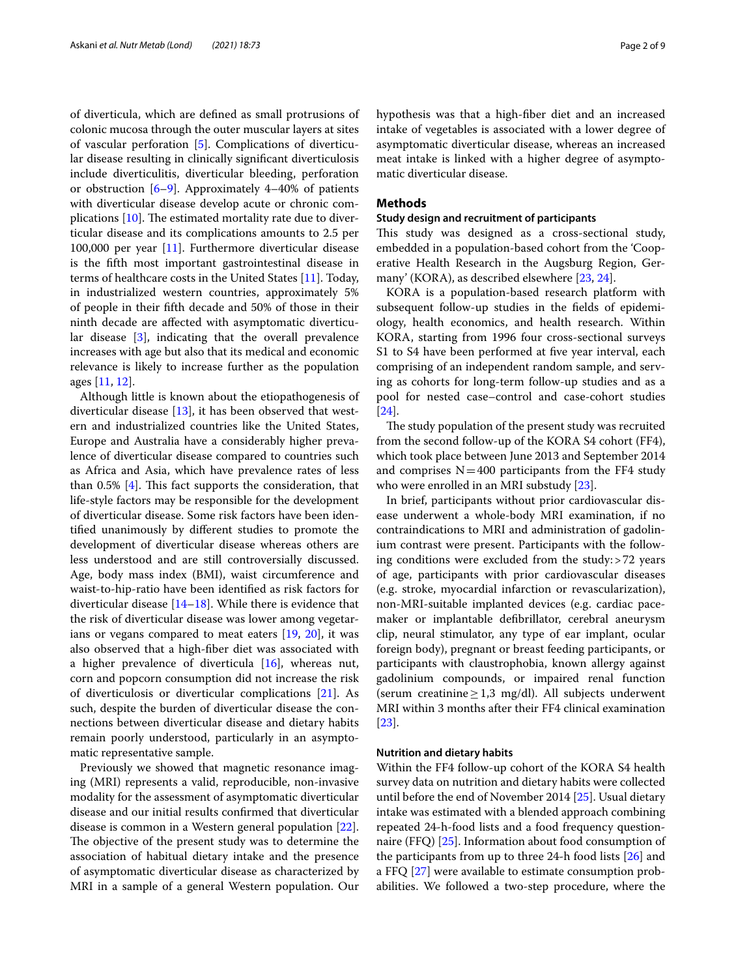of diverticula, which are defned as small protrusions of colonic mucosa through the outer muscular layers at sites of vascular perforation [\[5](#page-7-2)]. Complications of diverticular disease resulting in clinically signifcant diverticulosis include diverticulitis, diverticular bleeding, perforation or obstruction [\[6](#page-7-3)[–9](#page-7-4)]. Approximately 4–40% of patients with diverticular disease develop acute or chronic complications  $[10]$  $[10]$ . The estimated mortality rate due to diverticular disease and its complications amounts to 2.5 per 100,000 per year [\[11](#page-7-6)]. Furthermore diverticular disease is the ffth most important gastrointestinal disease in terms of healthcare costs in the United States [\[11](#page-7-6)]. Today, in industrialized western countries, approximately 5% of people in their ffth decade and 50% of those in their ninth decade are afected with asymptomatic diverticular disease [[3\]](#page-7-7), indicating that the overall prevalence increases with age but also that its medical and economic relevance is likely to increase further as the population ages [[11,](#page-7-6) [12\]](#page-7-8).

Although little is known about the etiopathogenesis of diverticular disease [\[13](#page-7-9)], it has been observed that western and industrialized countries like the United States, Europe and Australia have a considerably higher prevalence of diverticular disease compared to countries such as Africa and Asia, which have prevalence rates of less than  $0.5\%$  [\[4\]](#page-7-1). This fact supports the consideration, that life-style factors may be responsible for the development of diverticular disease. Some risk factors have been identifed unanimously by diferent studies to promote the development of diverticular disease whereas others are less understood and are still controversially discussed. Age, body mass index (BMI), waist circumference and waist-to-hip-ratio have been identifed as risk factors for diverticular disease [[14](#page-7-10)[–18](#page-7-11)]. While there is evidence that the risk of diverticular disease was lower among vegetarians or vegans compared to meat eaters [\[19](#page-7-12), [20\]](#page-7-13), it was also observed that a high-fber diet was associated with a higher prevalence of diverticula [\[16](#page-7-14)], whereas nut, corn and popcorn consumption did not increase the risk of diverticulosis or diverticular complications [[21\]](#page-7-15). As such, despite the burden of diverticular disease the connections between diverticular disease and dietary habits remain poorly understood, particularly in an asymptomatic representative sample.

Previously we showed that magnetic resonance imaging (MRI) represents a valid, reproducible, non-invasive modality for the assessment of asymptomatic diverticular disease and our initial results confrmed that diverticular disease is common in a Western general population [\[22](#page-7-16)]. The objective of the present study was to determine the association of habitual dietary intake and the presence of asymptomatic diverticular disease as characterized by MRI in a sample of a general Western population. Our hypothesis was that a high-fber diet and an increased intake of vegetables is associated with a lower degree of asymptomatic diverticular disease, whereas an increased meat intake is linked with a higher degree of asymptomatic diverticular disease.

# **Methods**

### **Study design and recruitment of participants**

This study was designed as a cross-sectional study, embedded in a population-based cohort from the 'Cooperative Health Research in the Augsburg Region, Germany' (KORA), as described elsewhere [\[23,](#page-8-0) [24](#page-8-1)].

KORA is a population-based research platform with subsequent follow-up studies in the felds of epidemiology, health economics, and health research. Within KORA, starting from 1996 four cross-sectional surveys S1 to S4 have been performed at fve year interval, each comprising of an independent random sample, and serving as cohorts for long-term follow-up studies and as a pool for nested case–control and case-cohort studies [[24\]](#page-8-1).

The study population of the present study was recruited from the second follow-up of the KORA S4 cohort (FF4), which took place between June 2013 and September 2014 and comprises  $N=400$  participants from the FF4 study who were enrolled in an MRI substudy [[23\]](#page-8-0).

In brief, participants without prior cardiovascular disease underwent a whole-body MRI examination, if no contraindications to MRI and administration of gadolinium contrast were present. Participants with the following conditions were excluded from the study:>72 years of age, participants with prior cardiovascular diseases (e.g. stroke, myocardial infarction or revascularization), non-MRI-suitable implanted devices (e.g. cardiac pacemaker or implantable defbrillator, cerebral aneurysm clip, neural stimulator, any type of ear implant, ocular foreign body), pregnant or breast feeding participants, or participants with claustrophobia, known allergy against gadolinium compounds, or impaired renal function (serum creatinine  $\geq 1.3$  mg/dl). All subjects underwent MRI within 3 months after their FF4 clinical examination [[23\]](#page-8-0).

# **Nutrition and dietary habits**

Within the FF4 follow-up cohort of the KORA S4 health survey data on nutrition and dietary habits were collected until before the end of November 2014 [\[25\]](#page-8-2). Usual dietary intake was estimated with a blended approach combining repeated 24-h-food lists and a food frequency questionnaire (FFQ) [[25\]](#page-8-2). Information about food consumption of the participants from up to three 24-h food lists  $[26]$  $[26]$  and a FFQ [[27](#page-8-4)] were available to estimate consumption probabilities. We followed a two-step procedure, where the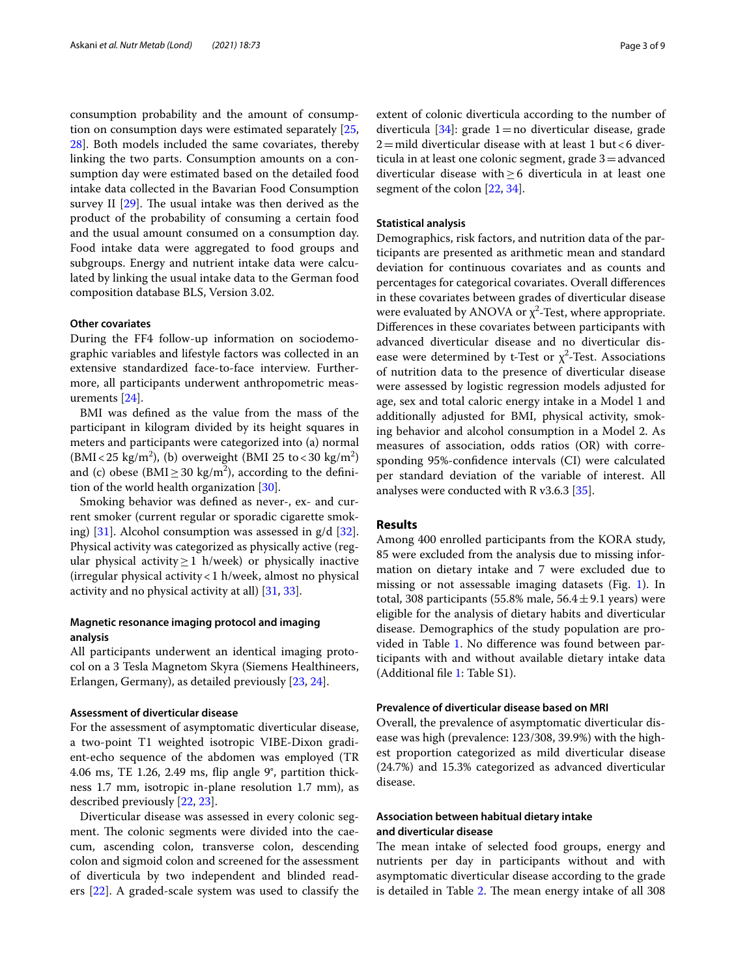consumption probability and the amount of consumption on consumption days were estimated separately [\[25](#page-8-2), [28\]](#page-8-5). Both models included the same covariates, thereby linking the two parts. Consumption amounts on a consumption day were estimated based on the detailed food intake data collected in the Bavarian Food Consumption survey II  $[29]$  $[29]$ . The usual intake was then derived as the product of the probability of consuming a certain food and the usual amount consumed on a consumption day. Food intake data were aggregated to food groups and subgroups. Energy and nutrient intake data were calculated by linking the usual intake data to the German food composition database BLS, Version 3.02.

# **Other covariates**

During the FF4 follow-up information on sociodemographic variables and lifestyle factors was collected in an extensive standardized face-to-face interview. Furthermore, all participants underwent anthropometric measurements [[24\]](#page-8-1).

BMI was defned as the value from the mass of the participant in kilogram divided by its height squares in meters and participants were categorized into (a) normal  $(BMI < 25 \text{ kg/m}^2)$ , (b) overweight (BMI 25 to < 30 kg/m<sup>2</sup>) and (c) obese (BMI $\geq$  30 kg/m<sup>2</sup>), according to the definition of the world health organization [\[30\]](#page-8-7).

Smoking behavior was defned as never-, ex- and current smoker (current regular or sporadic cigarette smoking) [[31\]](#page-8-8). Alcohol consumption was assessed in g/d [\[32](#page-8-9)]. Physical activity was categorized as physically active (regular physical activity  $\geq$  1 h/week) or physically inactive (irregular physical activity<1 h/week, almost no physical activity and no physical activity at all) [[31,](#page-8-8) [33](#page-8-10)].

# **Magnetic resonance imaging protocol and imaging analysis**

All participants underwent an identical imaging protocol on a 3 Tesla Magnetom Skyra (Siemens Healthineers, Erlangen, Germany), as detailed previously [[23,](#page-8-0) [24](#page-8-1)].

# **Assessment of diverticular disease**

For the assessment of asymptomatic diverticular disease, a two-point T1 weighted isotropic VIBE-Dixon gradient-echo sequence of the abdomen was employed (TR 4.06 ms, TE 1.26, 2.49 ms, fip angle 9°, partition thickness 1.7 mm, isotropic in-plane resolution 1.7 mm), as described previously [\[22](#page-7-16), [23\]](#page-8-0).

Diverticular disease was assessed in every colonic segment. The colonic segments were divided into the caecum, ascending colon, transverse colon, descending colon and sigmoid colon and screened for the assessment of diverticula by two independent and blinded readers [\[22](#page-7-16)]. A graded-scale system was used to classify the extent of colonic diverticula according to the number of diverticula [\[34\]](#page-8-11): grade 1 = no diverticular disease, grade  $2$ =mild diverticular disease with at least 1 but <6 diverticula in at least one colonic segment, grade 3=advanced diverticular disease with≥6 diverticula in at least one segment of the colon [\[22](#page-7-16), [34\]](#page-8-11).

# **Statistical analysis**

Demographics, risk factors, and nutrition data of the participants are presented as arithmetic mean and standard deviation for continuous covariates and as counts and percentages for categorical covariates. Overall diferences in these covariates between grades of diverticular disease were evaluated by ANOVA or  $\chi^2$ -Test, where appropriate. Diferences in these covariates between participants with advanced diverticular disease and no diverticular disease were determined by t-Test or  $\chi^2$ -Test. Associations of nutrition data to the presence of diverticular disease were assessed by logistic regression models adjusted for age, sex and total caloric energy intake in a Model 1 and additionally adjusted for BMI, physical activity, smoking behavior and alcohol consumption in a Model 2. As measures of association, odds ratios (OR) with corresponding 95%-confdence intervals (CI) were calculated per standard deviation of the variable of interest. All analyses were conducted with R v3.6.3 [\[35](#page-8-12)].

# **Results**

Among 400 enrolled participants from the KORA study, 85 were excluded from the analysis due to missing information on dietary intake and 7 were excluded due to missing or not assessable imaging datasets (Fig. [1\)](#page-3-0). In total, 308 participants (55.8% male,  $56.4 \pm 9.1$  years) were eligible for the analysis of dietary habits and diverticular disease. Demographics of the study population are provided in Table [1](#page-4-0). No diference was found between participants with and without available dietary intake data (Additional fle [1](#page-7-17): Table S1).

# **Prevalence of diverticular disease based on MRI**

Overall, the prevalence of asymptomatic diverticular disease was high (prevalence: 123/308, 39.9%) with the highest proportion categorized as mild diverticular disease (24.7%) and 15.3% categorized as advanced diverticular disease.

# **Association between habitual dietary intake and diverticular disease**

The mean intake of selected food groups, energy and nutrients per day in participants without and with asymptomatic diverticular disease according to the grade is detailed in Table [2.](#page-4-1) The mean energy intake of all 308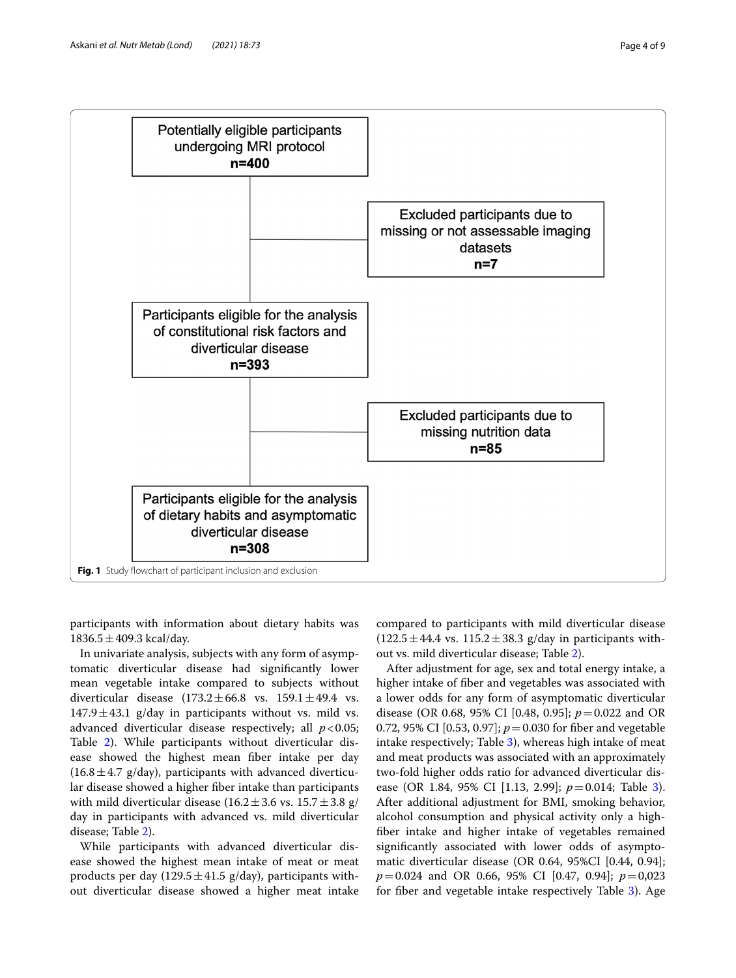

<span id="page-3-0"></span>participants with information about dietary habits was  $1836.5 \pm 409.3$  kcal/day.

In univariate analysis, subjects with any form of asymptomatic diverticular disease had signifcantly lower mean vegetable intake compared to subjects without diverticular disease  $(173.2 \pm 66.8 \text{ vs. } 159.1 \pm 49.4 \text{ vs. } 159.1 \pm 49.4 \text{ vs. } 159.1 \pm 49.4 \text{ vs. } 159.1 \pm 49.4 \text{ vs. } 159.1 \pm 49.4 \text{ vs. } 159.1 \pm 49.4 \text{ vs. } 159.1 \pm 49.4 \text{ vs. } 159.1 \pm 49.4 \text{ vs. } 159.1 \pm 49.4 \text{ vs. } 159.1 \pm$  $147.9 \pm 43.1$  g/day in participants without vs. mild vs. advanced diverticular disease respectively; all  $p < 0.05$ ; Table [2](#page-4-1)). While participants without diverticular disease showed the highest mean fber intake per day  $(16.8 \pm 4.7 \text{ g/day})$ , participants with advanced diverticular disease showed a higher fber intake than participants with mild diverticular disease ( $16.2 \pm 3.6$  vs.  $15.7 \pm 3.8$  g/ day in participants with advanced vs. mild diverticular disease; Table [2\)](#page-4-1).

While participants with advanced diverticular disease showed the highest mean intake of meat or meat products per day (129.5 $\pm$ 41.5 g/day), participants without diverticular disease showed a higher meat intake compared to participants with mild diverticular disease  $(122.5 \pm 44.4 \text{ vs. } 115.2 \pm 38.3 \text{ g/day in participants with}$ out vs. mild diverticular disease; Table [2\)](#page-4-1).

After adjustment for age, sex and total energy intake, a higher intake of fber and vegetables was associated with a lower odds for any form of asymptomatic diverticular disease (OR 0.68, 95% CI [0.48, 0.95]; *p*=0.022 and OR 0.72, 95% CI [0.53, 0.97]; *p*=0.030 for fber and vegetable intake respectively; Table [3](#page-5-0)), whereas high intake of meat and meat products was associated with an approximately two-fold higher odds ratio for advanced diverticular disease (OR 1.84, 95% CI [1.13, 2.99]; *p*=0.014; Table [3](#page-5-0)). After additional adjustment for BMI, smoking behavior, alcohol consumption and physical activity only a highfber intake and higher intake of vegetables remained signifcantly associated with lower odds of asymptomatic diverticular disease (OR 0.64, 95%CI [0.44, 0.94]; *p*=0.024 and OR 0.66, 95% CI [0.47, 0.94]; *p*=0,023 for fber and vegetable intake respectively Table [3\)](#page-5-0). Age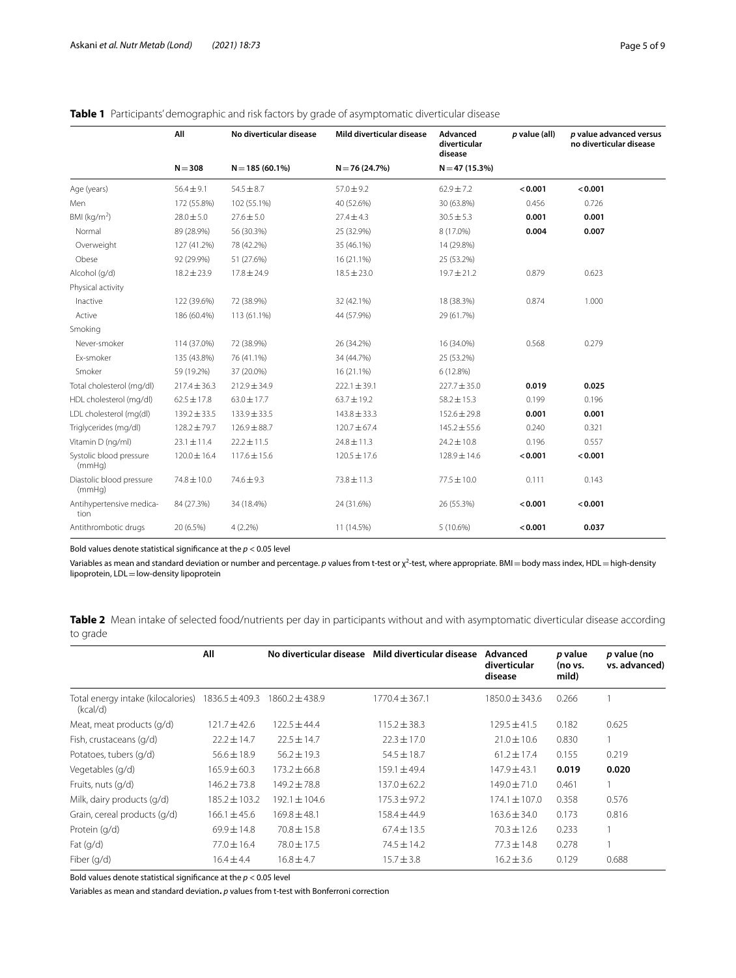|                                    | All              | No diverticular disease | Mild diverticular disease | Advanced<br>diverticular<br>disease | $p$ value (all) | p value advanced versus<br>no diverticular disease |
|------------------------------------|------------------|-------------------------|---------------------------|-------------------------------------|-----------------|----------------------------------------------------|
|                                    | $N = 308$        | $N = 185(60.1\%)$       | $N = 76(24.7%)$           | $N = 47(15.3%)$                     |                 |                                                    |
| Age (years)                        | $56.4 \pm 9.1$   | $54.5 \pm 8.7$          | $57.0 \pm 9.2$            | $62.9 \pm 7.2$                      | < 0.001         | < 0.001                                            |
| Men                                | 172 (55.8%)      | 102 (55.1%)             | 40 (52.6%)                | 30 (63.8%)                          | 0.456           | 0.726                                              |
| BMI ( $kg/m2$ )                    | $28.0 \pm 5.0$   | $27.6 \pm 5.0$          | $27.4 \pm 4.3$            | $30.5 \pm 5.3$                      | 0.001           | 0.001                                              |
| Normal                             | 89 (28.9%)       | 56 (30.3%)              | 25 (32.9%)                | 8 (17.0%)                           | 0.004           | 0.007                                              |
| Overweight                         | 127 (41.2%)      | 78 (42.2%)              | 35 (46.1%)                | 14 (29.8%)                          |                 |                                                    |
| Obese                              | 92 (29.9%)       | 51 (27.6%)              | 16 (21.1%)                | 25 (53.2%)                          |                 |                                                    |
| Alcohol (g/d)                      | $18.2 \pm 23.9$  | $17.8 \pm 24.9$         | $18.5 \pm 23.0$           | $19.7 \pm 21.2$                     | 0.879           | 0.623                                              |
| Physical activity                  |                  |                         |                           |                                     |                 |                                                    |
| Inactive                           | 122 (39.6%)      | 72 (38.9%)              | 32 (42.1%)                | 18 (38.3%)                          | 0.874           | 1.000                                              |
| Active                             | 186 (60.4%)      | 113 (61.1%)             | 44 (57.9%)                | 29 (61.7%)                          |                 |                                                    |
| Smoking                            |                  |                         |                           |                                     |                 |                                                    |
| Never-smoker                       | 114 (37.0%)      | 72 (38.9%)              | 26 (34.2%)                | 16 (34.0%)                          | 0.568           | 0.279                                              |
| Ex-smoker                          | 135 (43.8%)      | 76 (41.1%)              | 34 (44.7%)                | 25 (53.2%)                          |                 |                                                    |
| Smoker                             | 59 (19.2%)       | 37 (20.0%)              | 16 (21.1%)                | 6 (12.8%)                           |                 |                                                    |
| Total cholesterol (mg/dl)          | $217.4 \pm 36.3$ | $212.9 \pm 34.9$        | $222.1 \pm 39.1$          | $227.7 \pm 35.0$                    | 0.019           | 0.025                                              |
| HDL cholesterol (mg/dl)            | $62.5 \pm 17.8$  | $63.0 \pm 17.7$         | $63.7 \pm 19.2$           | $58.2 \pm 15.3$                     | 0.199           | 0.196                                              |
| LDL cholesterol (mg(dl)            | $139.2 \pm 33.5$ | 133.9 ± 33.5            | $143.8 \pm 33.3$          | $152.6 \pm 29.8$                    | 0.001           | 0.001                                              |
| Triglycerides (mg/dl)              | 128.2 ± 79.7     | $126.9 \pm 88.7$        | $120.7 \pm 67.4$          | $145.2 \pm 55.6$                    | 0.240           | 0.321                                              |
| Vitamin D (ng/ml)                  | $23.1 \pm 11.4$  | $22.2 \pm 11.5$         | $24.8 \pm 11.3$           | $24.2 \pm 10.8$                     | 0.196           | 0.557                                              |
| Systolic blood pressure<br>(mmHq)  | $120.0 \pm 16.4$ | $117.6 \pm 15.6$        | $120.5 \pm 17.6$          | $128.9 \pm 14.6$                    | < 0.001         | < 0.001                                            |
| Diastolic blood pressure<br>(mmHq) | 74.8 ± 10.0      | $74.6 \pm 9.3$          | $73.8 \pm 11.3$           | $77.5 \pm 10.0$                     | 0.111           | 0.143                                              |
| Antihypertensive medica-<br>tion   | 84 (27.3%)       | 34 (18.4%)              | 24 (31.6%)                | 26 (55.3%)                          | < 0.001         | < 0.001                                            |
| Antithrombotic drugs               | 20 (6.5%)        | 4(2.2%)                 | 11 (14.5%)                | 5 (10.6%)                           | < 0.001         | 0.037                                              |

# <span id="page-4-0"></span>**Table 1** Participants' demographic and risk factors by grade of asymptomatic diverticular disease

Bold values denote statistical signifcance at the *p* < 0.05 level

Variables as mean and standard deviation or number and percentage. *p* values from t-test or χ<sup>2</sup>-test, where appropriate. BMI=body mass index, HDL=high-density lipoprotein, LDL = low-density lipoprotein

<span id="page-4-1"></span>**Table 2** Mean intake of selected food/nutrients per day in participants without and with asymptomatic diverticular disease according to grade

|                                                | All                | No diverticular disease | Mild diverticular disease | Advanced<br>diverticular<br>disease | p value<br>(no vs.<br>mild) | p value (no<br>vs. advanced) |
|------------------------------------------------|--------------------|-------------------------|---------------------------|-------------------------------------|-----------------------------|------------------------------|
| Total energy intake (kilocalories)<br>(kcal/d) | $1836.5 \pm 409.3$ | $1860.2 \pm 438.9$      | $1770.4 \pm 367.1$        | $1850.0 \pm 343.6$                  | 0.266                       |                              |
| Meat, meat products (g/d)                      | $121.7 \pm 42.6$   | $122.5 \pm 44.4$        | $115.2 \pm 38.3$          | $129.5 \pm 41.5$                    | 0.182                       | 0.625                        |
| Fish, crustaceans (g/d)                        | $22.2 \pm 14.7$    | $22.5 \pm 14.7$         | $22.3 \pm 17.0$           | $21.0 \pm 10.6$                     | 0.830                       |                              |
| Potatoes, tubers (g/d)                         | $56.6 \pm 18.9$    | $56.2 \pm 19.3$         | $54.5 \pm 18.7$           | $61.2 \pm 17.4$                     | 0.155                       | 0.219                        |
| Vegetables (g/d)                               | $165.9 \pm 60.3$   | $173.2 + 66.8$          | $159.1 \pm 49.4$          | $147.9 \pm 43.1$                    | 0.019                       | 0.020                        |
| Fruits, nuts (g/d)                             | $146.2 \pm 73.8$   | $149.2 \pm 78.8$        | $137.0 \pm 62.2$          | $149.0 \pm 71.0$                    | 0.461                       |                              |
| Milk, dairy products (g/d)                     | $185.2 \pm 103.2$  | 192.1 ± 104.6           | $175.3 \pm 97.2$          | $174.1 \pm 107.0$                   | 0.358                       | 0.576                        |
| Grain, cereal products (g/d)                   | $166.1 \pm 45.6$   | $169.8 \pm 48.1$        | $158.4 \pm 44.9$          | $163.6 \pm 34.0$                    | 0.173                       | 0.816                        |
| Protein (g/d)                                  | $69.9 \pm 14.8$    | $70.8 \pm 15.8$         | $67.4 \pm 13.5$           | $70.3 \pm 12.6$                     | 0.233                       |                              |
| Fat $(q/d)$                                    | $77.0 \pm 16.4$    | 78.0 ± 17.5             | $74.5 \pm 14.2$           | $77.3 \pm 14.8$                     | 0.278                       |                              |
| Fiber (g/d)                                    | $16.4 \pm 4.4$     | $16.8 \pm 4.7$          | $15.7 \pm 3.8$            | $16.2 \pm 3.6$                      | 0.129                       | 0.688                        |

Bold values denote statistical signifcance at the *p* < 0.05 level

Variables as mean and standard deviation**.** *p* values from t-test with Bonferroni correction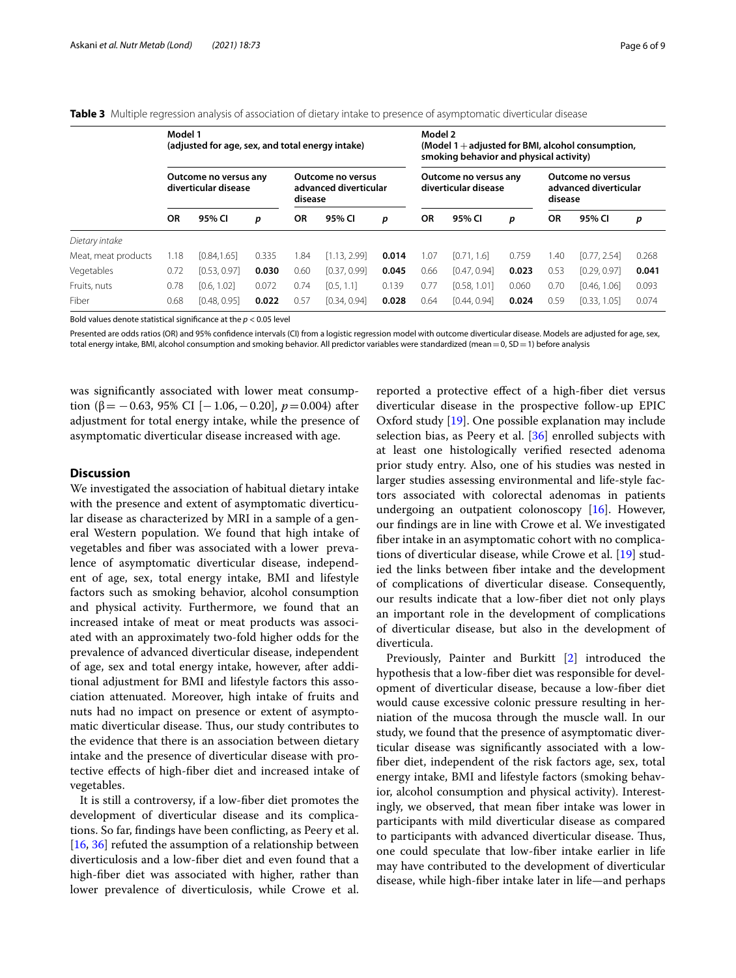|                     | Model 1<br>(adjusted for age, sex, and total energy intake) |              |                                                              |           |                                               | Model 2<br>(Model $1 +$ adjusted for BMI, alcohol consumption,<br>smoking behavior and physical activity) |      |                                                       |       |           |              |       |
|---------------------|-------------------------------------------------------------|--------------|--------------------------------------------------------------|-----------|-----------------------------------------------|-----------------------------------------------------------------------------------------------------------|------|-------------------------------------------------------|-------|-----------|--------------|-------|
|                     | Outcome no versus any<br>diverticular disease               |              | <b>Outcome no versus</b><br>advanced diverticular<br>disease |           | Outcome no versus any<br>diverticular disease |                                                                                                           |      | Outcome no versus<br>advanced diverticular<br>disease |       |           |              |       |
|                     | ΟR                                                          | 95% CI       | р                                                            | <b>OR</b> | 95% CI                                        | p                                                                                                         | OR   | 95% CI                                                | р     | <b>OR</b> | 95% CI       | р     |
| Dietary intake      |                                                             |              |                                                              |           |                                               |                                                                                                           |      |                                                       |       |           |              |       |
| Meat, meat products | 1.18                                                        | [0.84, 1.65] | 0.335                                                        | .84       | [1.13, 2.99]                                  | 0.014                                                                                                     | 1.07 | [0.71, 1.6]                                           | 0.759 | 1.40      | [0.77, 2.54] | 0.268 |
| Vegetables          | 0.72                                                        | [0.53, 0.97] | 0.030                                                        | 0.60      | [0.37, 0.99]                                  | 0.045                                                                                                     | 0.66 | [0.47, 0.94]                                          | 0.023 | 0.53      | [0.29, 0.97] | 0.041 |
| Fruits, nuts        | 0.78                                                        | [0.6, 1.02]  | 0.072                                                        | 0.74      | [0.5, 1.1]                                    | 0.139                                                                                                     | 0.77 | [0.58, 1.01]                                          | 0.060 | 0.70      | [0.46, 1.06] | 0.093 |
| Fiber               | 0.68                                                        | [0.48, 0.95] | 0.022                                                        | 0.57      | [0.34, 0.94]                                  | 0.028                                                                                                     | 0.64 | [0.44, 0.94]                                          | 0.024 | 0.59      | [0.33, 1.05] | 0.074 |

<span id="page-5-0"></span>**Table 3** Multiple regression analysis of association of dietary intake to presence of asymptomatic diverticular disease

Bold values denote statistical signifcance at the *p* < 0.05 level

Presented are odds ratios (OR) and 95% confidence intervals (CI) from a logistic regression model with outcome diverticular disease. Models are adjusted for age, sex, total energy intake, BMI, alcohol consumption and smoking behavior. All predictor variables were standardized (mean = 0, SD = 1) before analysis

was signifcantly associated with lower meat consumption (β =  $-0.63$ , 95% CI [ $-1.06$ ,  $-0.20$ ],  $p = 0.004$ ) after adjustment for total energy intake, while the presence of asymptomatic diverticular disease increased with age.

# **Discussion**

We investigated the association of habitual dietary intake with the presence and extent of asymptomatic diverticular disease as characterized by MRI in a sample of a general Western population. We found that high intake of vegetables and fber was associated with a lower prevalence of asymptomatic diverticular disease, independent of age, sex, total energy intake, BMI and lifestyle factors such as smoking behavior, alcohol consumption and physical activity. Furthermore, we found that an increased intake of meat or meat products was associated with an approximately two-fold higher odds for the prevalence of advanced diverticular disease, independent of age, sex and total energy intake, however, after additional adjustment for BMI and lifestyle factors this association attenuated. Moreover, high intake of fruits and nuts had no impact on presence or extent of asymptomatic diverticular disease. Thus, our study contributes to the evidence that there is an association between dietary intake and the presence of diverticular disease with protective efects of high-fber diet and increased intake of vegetables.

It is still a controversy, if a low-fber diet promotes the development of diverticular disease and its complications. So far, fndings have been conficting, as Peery et al. [[16,](#page-7-14) [36](#page-8-13)] refuted the assumption of a relationship between diverticulosis and a low-fber diet and even found that a high-fber diet was associated with higher, rather than lower prevalence of diverticulosis, while Crowe et al. reported a protective efect of a high-fber diet versus diverticular disease in the prospective follow-up EPIC Oxford study [[19\]](#page-7-12). One possible explanation may include selection bias, as Peery et al. [[36\]](#page-8-13) enrolled subjects with at least one histologically verifed resected adenoma prior study entry. Also, one of his studies was nested in larger studies assessing environmental and life-style factors associated with colorectal adenomas in patients undergoing an outpatient colonoscopy [\[16](#page-7-14)]. However, our fndings are in line with Crowe et al. We investigated fber intake in an asymptomatic cohort with no complications of diverticular disease, while Crowe et al. [[19\]](#page-7-12) studied the links between fber intake and the development of complications of diverticular disease. Consequently, our results indicate that a low-fber diet not only plays an important role in the development of complications of diverticular disease, but also in the development of diverticula.

Previously, Painter and Burkitt [\[2](#page-7-18)] introduced the hypothesis that a low-fber diet was responsible for development of diverticular disease, because a low-fber diet would cause excessive colonic pressure resulting in herniation of the mucosa through the muscle wall. In our study, we found that the presence of asymptomatic diverticular disease was signifcantly associated with a lowfber diet, independent of the risk factors age, sex, total energy intake, BMI and lifestyle factors (smoking behavior, alcohol consumption and physical activity). Interestingly, we observed, that mean fber intake was lower in participants with mild diverticular disease as compared to participants with advanced diverticular disease. Thus, one could speculate that low-fber intake earlier in life may have contributed to the development of diverticular disease, while high-fber intake later in life—and perhaps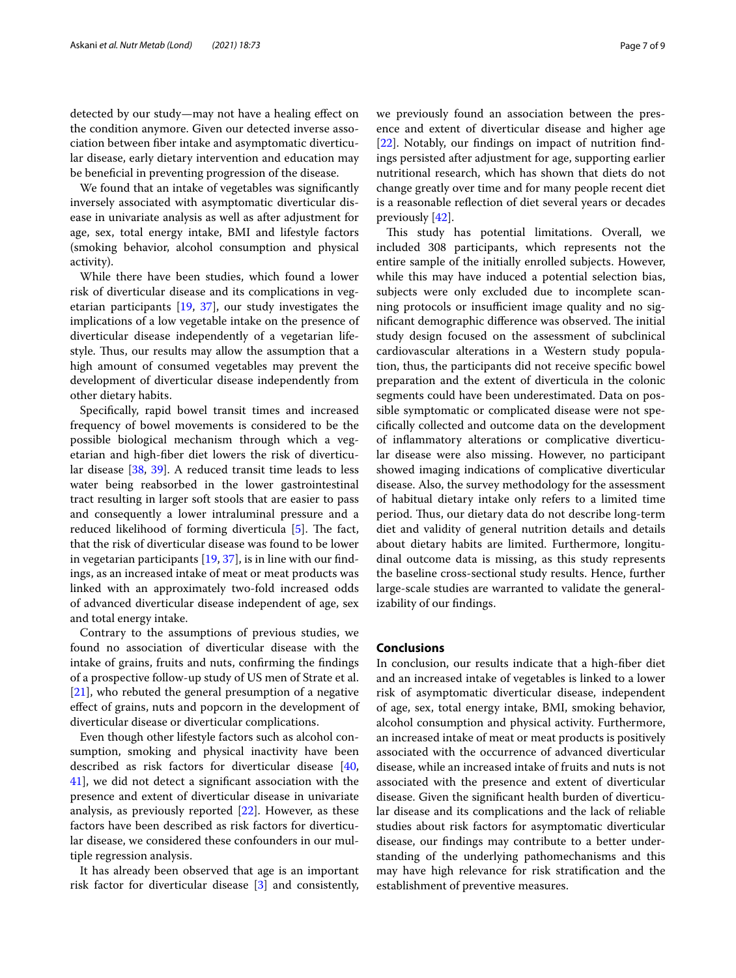detected by our study—may not have a healing efect on the condition anymore. Given our detected inverse association between fber intake and asymptomatic diverticular disease, early dietary intervention and education may be benefcial in preventing progression of the disease.

We found that an intake of vegetables was signifcantly inversely associated with asymptomatic diverticular disease in univariate analysis as well as after adjustment for age, sex, total energy intake, BMI and lifestyle factors (smoking behavior, alcohol consumption and physical activity).

While there have been studies, which found a lower risk of diverticular disease and its complications in vegetarian participants [[19,](#page-7-12) [37\]](#page-8-14), our study investigates the implications of a low vegetable intake on the presence of diverticular disease independently of a vegetarian lifestyle. Thus, our results may allow the assumption that a high amount of consumed vegetables may prevent the development of diverticular disease independently from other dietary habits.

Specifcally, rapid bowel transit times and increased frequency of bowel movements is considered to be the possible biological mechanism through which a vegetarian and high-fber diet lowers the risk of diverticular disease [[38,](#page-8-15) [39](#page-8-16)]. A reduced transit time leads to less water being reabsorbed in the lower gastrointestinal tract resulting in larger soft stools that are easier to pass and consequently a lower intraluminal pressure and a reduced likelihood of forming diverticula  $[5]$  $[5]$ . The fact, that the risk of diverticular disease was found to be lower in vegetarian participants  $[19, 37]$  $[19, 37]$  $[19, 37]$ , is in line with our findings, as an increased intake of meat or meat products was linked with an approximately two-fold increased odds of advanced diverticular disease independent of age, sex and total energy intake.

Contrary to the assumptions of previous studies, we found no association of diverticular disease with the intake of grains, fruits and nuts, confrming the fndings of a prospective follow-up study of US men of Strate et al. [[21\]](#page-7-15), who rebuted the general presumption of a negative efect of grains, nuts and popcorn in the development of diverticular disease or diverticular complications.

Even though other lifestyle factors such as alcohol consumption, smoking and physical inactivity have been described as risk factors for diverticular disease [\[40](#page-8-17), [41\]](#page-8-18), we did not detect a signifcant association with the presence and extent of diverticular disease in univariate analysis, as previously reported [[22](#page-7-16)]. However, as these factors have been described as risk factors for diverticular disease, we considered these confounders in our multiple regression analysis.

It has already been observed that age is an important risk factor for diverticular disease [[3](#page-7-7)] and consistently, we previously found an association between the presence and extent of diverticular disease and higher age [[22\]](#page-7-16). Notably, our fndings on impact of nutrition fndings persisted after adjustment for age, supporting earlier nutritional research, which has shown that diets do not change greatly over time and for many people recent diet is a reasonable reflection of diet several years or decades previously [\[42](#page-8-19)].

This study has potential limitations. Overall, we included 308 participants, which represents not the entire sample of the initially enrolled subjects. However, while this may have induced a potential selection bias, subjects were only excluded due to incomplete scanning protocols or insufficient image quality and no significant demographic difference was observed. The initial study design focused on the assessment of subclinical cardiovascular alterations in a Western study population, thus, the participants did not receive specifc bowel preparation and the extent of diverticula in the colonic segments could have been underestimated. Data on possible symptomatic or complicated disease were not specifcally collected and outcome data on the development of infammatory alterations or complicative diverticular disease were also missing. However, no participant showed imaging indications of complicative diverticular disease. Also, the survey methodology for the assessment of habitual dietary intake only refers to a limited time period. Thus, our dietary data do not describe long-term diet and validity of general nutrition details and details about dietary habits are limited. Furthermore, longitudinal outcome data is missing, as this study represents the baseline cross-sectional study results. Hence, further large-scale studies are warranted to validate the generalizability of our fndings.

# **Conclusions**

In conclusion, our results indicate that a high-fber diet and an increased intake of vegetables is linked to a lower risk of asymptomatic diverticular disease, independent of age, sex, total energy intake, BMI, smoking behavior, alcohol consumption and physical activity. Furthermore, an increased intake of meat or meat products is positively associated with the occurrence of advanced diverticular disease, while an increased intake of fruits and nuts is not associated with the presence and extent of diverticular disease. Given the signifcant health burden of diverticular disease and its complications and the lack of reliable studies about risk factors for asymptomatic diverticular disease, our fndings may contribute to a better understanding of the underlying pathomechanisms and this may have high relevance for risk stratifcation and the establishment of preventive measures.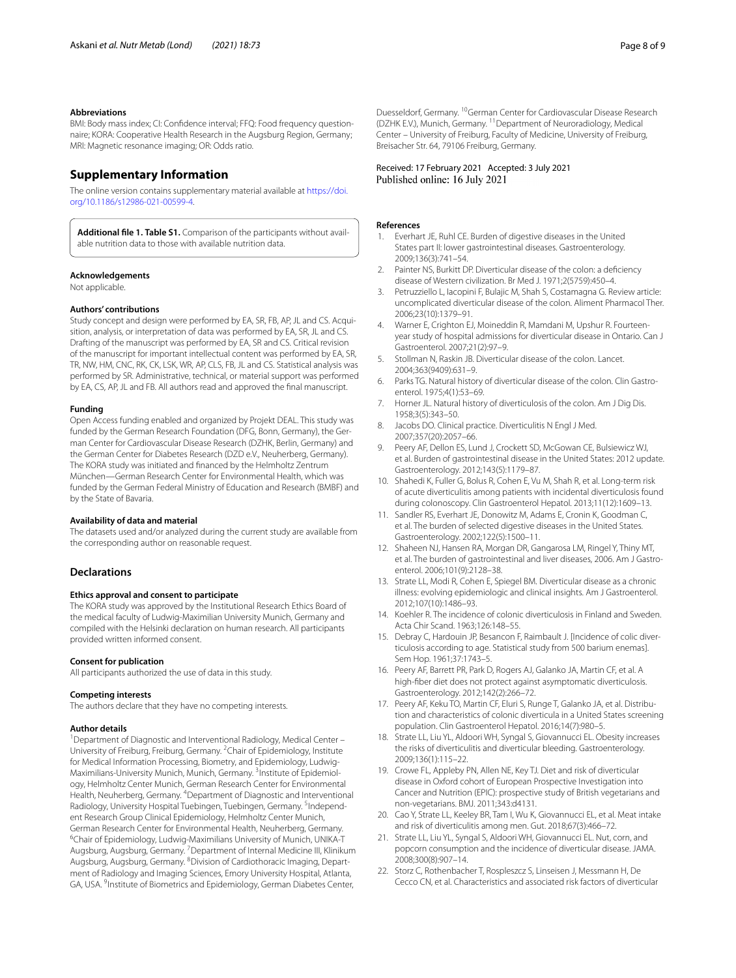#### **Abbreviations**

BMI: Body mass index; CI: Confdence interval; FFQ: Food frequency questionnaire; KORA: Cooperative Health Research in the Augsburg Region, Germany; MRI: Magnetic resonance imaging; OR: Odds ratio.

# **Supplementary Information**

The online version contains supplementary material available at [https://doi.](https://doi.org/10.1186/s12986-021-00599-4) [org/10.1186/s12986-021-00599-4](https://doi.org/10.1186/s12986-021-00599-4).

<span id="page-7-17"></span>**Additional fle 1. Table S1.** Comparison of the participants without available nutrition data to those with available nutrition data.

#### **Acknowledgements**

Not applicable.

# **Authors' contributions**

Study concept and design were performed by EA, SR, FB, AP, JL and CS. Acquisition, analysis, or interpretation of data was performed by EA, SR, JL and CS. Drafting of the manuscript was performed by EA, SR and CS. Critical revision of the manuscript for important intellectual content was performed by EA, SR, TR, NW, HM, CNC, RK, CK, LSK, WR, AP, CLS, FB, JL and CS. Statistical analysis was performed by SR. Administrative, technical, or material support was performed by EA, CS, AP, JL and FB. All authors read and approved the fnal manuscript.

#### **Funding**

Open Access funding enabled and organized by Projekt DEAL. This study was funded by the German Research Foundation (DFG, Bonn, Germany), the German Center for Cardiovascular Disease Research (DZHK, Berlin, Germany) and the German Center for Diabetes Research (DZD e.V., Neuherberg, Germany). The KORA study was initiated and fnanced by the Helmholtz Zentrum München—German Research Center for Environmental Health, which was funded by the German Federal Ministry of Education and Research (BMBF) and by the State of Bavaria.

#### **Availability of data and material**

The datasets used and/or analyzed during the current study are available from the corresponding author on reasonable request.

## **Declarations**

#### **Ethics approval and consent to participate**

The KORA study was approved by the Institutional Research Ethics Board of the medical faculty of Ludwig-Maximilian University Munich, Germany and compiled with the Helsinki declaration on human research. All participants provided written informed consent.

#### **Consent for publication**

All participants authorized the use of data in this study.

#### **Competing interests**

The authors declare that they have no competing interests.

#### **Author details**

<sup>1</sup> Department of Diagnostic and Interventional Radiology, Medical Center -University of Freiburg, Freiburg, Germany. <sup>2</sup>Chair of Epidemiology, Institute for Medical Information Processing, Biometry, and Epidemiology, Ludwig-Maximilians-University Munich, Munich, Germany. <sup>3</sup>Institute of Epidemiology, Helmholtz Center Munich, German Research Center for Environmental Health, Neuherberg, Germany. <sup>4</sup> Department of Diagnostic and Interventional Radiology, University Hospital Tuebingen, Tuebingen, Germany. <sup>5</sup>Independent Research Group Clinical Epidemiology, Helmholtz Center Munich, German Research Center for Environmental Health, Neuherberg, Germany. 6 Chair of Epidemiology, Ludwig-Maximilians University of Munich, UNIKA-T Augsburg, Augsburg, Germany. <sup>7</sup> Department of Internal Medicine III, Klinikum Augsburg, Augsburg, Germany. <sup>8</sup> Division of Cardiothoracic Imaging, Department of Radiology and Imaging Sciences, Emory University Hospital, Atlanta, GA, USA. <sup>9</sup>Institute of Biometrics and Epidemiology, German Diabetes Center,

Received: 17 February 2021 Accepted: 3 July 2021 Published online: 16 July 2021

#### **References**

- <span id="page-7-0"></span>1. Everhart JE, Ruhl CE. Burden of digestive diseases in the United States part II: lower gastrointestinal diseases. Gastroenterology. 2009;136(3):741–54.
- <span id="page-7-18"></span>2. Painter NS, Burkitt DP. Diverticular disease of the colon: a defciency disease of Western civilization. Br Med J. 1971;2(5759):450–4.
- <span id="page-7-7"></span>3. Petruzziello L, Iacopini F, Bulajic M, Shah S, Costamagna G. Review article: uncomplicated diverticular disease of the colon. Aliment Pharmacol Ther. 2006;23(10):1379–91.
- <span id="page-7-1"></span>4. Warner E, Crighton EJ, Moineddin R, Mamdani M, Upshur R. Fourteenyear study of hospital admissions for diverticular disease in Ontario. Can J Gastroenterol. 2007;21(2):97–9.
- <span id="page-7-2"></span>5. Stollman N, Raskin JB. Diverticular disease of the colon. Lancet. 2004;363(9409):631–9.
- <span id="page-7-3"></span>6. Parks TG. Natural history of diverticular disease of the colon. Clin Gastroenterol. 1975;4(1):53–69.
- 7. Horner JL. Natural history of diverticulosis of the colon. Am J Dig Dis. 1958;3(5):343–50.
- 8. Jacobs DO. Clinical practice. Diverticulitis N Engl J Med. 2007;357(20):2057–66.
- <span id="page-7-4"></span>9. Peery AF, Dellon ES, Lund J, Crockett SD, McGowan CE, Bulsiewicz WJ, et al. Burden of gastrointestinal disease in the United States: 2012 update. Gastroenterology. 2012;143(5):1179–87.
- <span id="page-7-5"></span>10. Shahedi K, Fuller G, Bolus R, Cohen E, Vu M, Shah R, et al. Long-term risk of acute diverticulitis among patients with incidental diverticulosis found during colonoscopy. Clin Gastroenterol Hepatol. 2013;11(12):1609–13.
- <span id="page-7-6"></span>11. Sandler RS, Everhart JE, Donowitz M, Adams E, Cronin K, Goodman C, et al. The burden of selected digestive diseases in the United States. Gastroenterology. 2002;122(5):1500–11.
- <span id="page-7-8"></span>12. Shaheen NJ, Hansen RA, Morgan DR, Gangarosa LM, Ringel Y, Thiny MT, et al. The burden of gastrointestinal and liver diseases, 2006. Am J Gastroenterol. 2006;101(9):2128–38.
- <span id="page-7-9"></span>13. Strate LL, Modi R, Cohen E, Spiegel BM. Diverticular disease as a chronic illness: evolving epidemiologic and clinical insights. Am J Gastroenterol. 2012;107(10):1486–93.
- <span id="page-7-10"></span>14. Koehler R. The incidence of colonic diverticulosis in Finland and Sweden. Acta Chir Scand. 1963;126:148–55.
- 15. Debray C, Hardouin JP, Besancon F, Raimbault J. [Incidence of colic diverticulosis according to age. Statistical study from 500 barium enemas]. Sem Hop. 1961;37:1743–5.
- <span id="page-7-14"></span>16. Peery AF, Barrett PR, Park D, Rogers AJ, Galanko JA, Martin CF, et al. A high-fber diet does not protect against asymptomatic diverticulosis. Gastroenterology. 2012;142(2):266–72.
- 17. Peery AF, Keku TO, Martin CF, Eluri S, Runge T, Galanko JA, et al. Distribution and characteristics of colonic diverticula in a United States screening population. Clin Gastroenterol Hepatol. 2016;14(7):980–5.
- <span id="page-7-11"></span>18. Strate LL, Liu YL, Aldoori WH, Syngal S, Giovannucci EL. Obesity increases the risks of diverticulitis and diverticular bleeding. Gastroenterology. 2009;136(1):115–22.
- <span id="page-7-12"></span>19. Crowe FL, Appleby PN, Allen NE, Key TJ. Diet and risk of diverticular disease in Oxford cohort of European Prospective Investigation into Cancer and Nutrition (EPIC): prospective study of British vegetarians and non-vegetarians. BMJ. 2011;343:d4131.
- <span id="page-7-13"></span>20. Cao Y, Strate LL, Keeley BR, Tam I, Wu K, Giovannucci EL, et al. Meat intake and risk of diverticulitis among men. Gut. 2018;67(3):466–72.
- <span id="page-7-15"></span>21. Strate LL, Liu YL, Syngal S, Aldoori WH, Giovannucci EL. Nut, corn, and popcorn consumption and the incidence of diverticular disease. JAMA. 2008;300(8):907–14.
- <span id="page-7-16"></span>22. Storz C, Rothenbacher T, Rospleszcz S, Linseisen J, Messmann H, De Cecco CN, et al. Characteristics and associated risk factors of diverticular